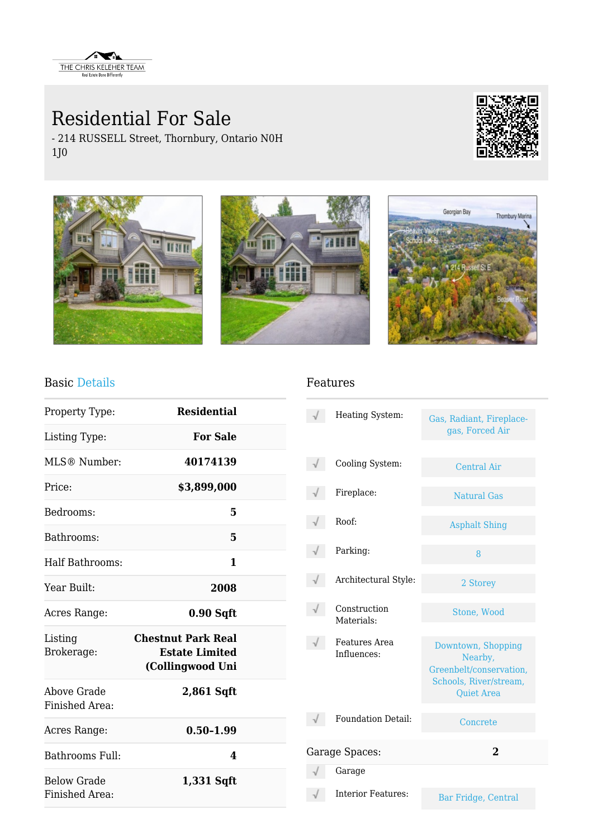

## Residential For Sale

- 214 RUSSELL Street, Thornbury, Ontario N0H 1J0







## Basic Details

| Property Type:                       | <b>Residential</b>                                                     |  |
|--------------------------------------|------------------------------------------------------------------------|--|
| Listing Type:                        | <b>For Sale</b>                                                        |  |
| MLS® Number:                         | 40174139                                                               |  |
| Price:                               | \$3,899,000                                                            |  |
| Bedrooms:                            | 5                                                                      |  |
| Bathrooms:                           | 5                                                                      |  |
| Half Bathrooms:                      | 1                                                                      |  |
| Year Built:                          | 2008                                                                   |  |
| Acres Range:                         | 0.90 S <sub>qft</sub>                                                  |  |
| Listing<br>Brokerage:                | <b>Chestnut Park Real</b><br><b>Estate Limited</b><br>(Collingwood Uni |  |
| Above Grade<br>Finished Area:        | 2,861 Sqft                                                             |  |
| Acres Range:                         | $0.50 - 1.99$                                                          |  |
| Bathrooms Full:                      | 4                                                                      |  |
| <b>Below Grade</b><br>Finished Area: | 1,331 Sqft                                                             |  |

## Features

|                                  | Heating System:              | Gas, Radiant, Fireplace-<br>gas, Forced Air                                                             |
|----------------------------------|------------------------------|---------------------------------------------------------------------------------------------------------|
|                                  | Cooling System:              | <b>Central Air</b>                                                                                      |
|                                  | Fireplace:                   | <b>Natural Gas</b>                                                                                      |
|                                  | Roof:                        | <b>Asphalt Shing</b>                                                                                    |
|                                  | Parking:                     | 8                                                                                                       |
|                                  | Architectural Style:         | 2 Storey                                                                                                |
|                                  | Construction<br>Materials:   | Stone, Wood                                                                                             |
|                                  | Features Area<br>Influences: | Downtown, Shopping<br>Nearby,<br>Greenbelt/conservation,<br>Schools, River/stream,<br><b>Quiet Area</b> |
|                                  | <b>Foundation Detail:</b>    | Concrete                                                                                                |
| $\overline{2}$<br>Garage Spaces: |                              |                                                                                                         |
|                                  | Garage                       |                                                                                                         |
|                                  | <b>Interior Features:</b>    | <b>Bar Fridge, Central</b>                                                                              |